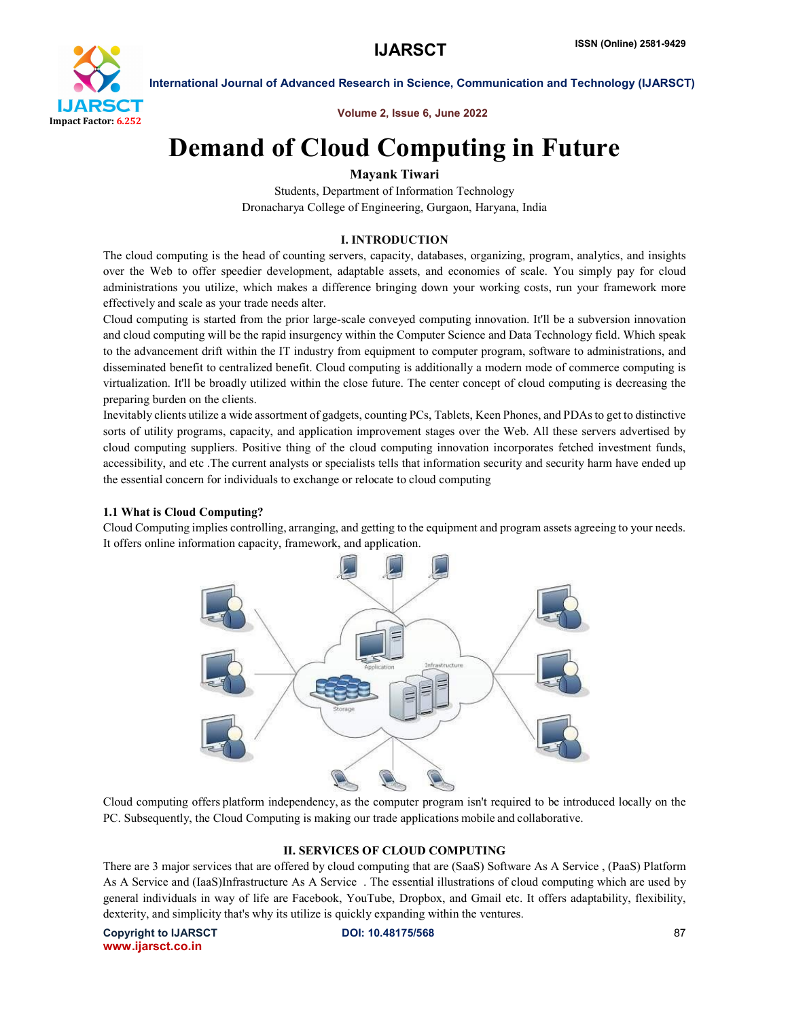

International Journal of Advanced Research in Science, Communication and Technology (IJARSCT)

Volume 2, Issue 6, June 2022

# Demand of Cloud Computing in Future

# Mayank Tiwari

Students, Department of Information Technology Dronacharya College of Engineering, Gurgaon, Haryana, India

# I. INTRODUCTION

The cloud computing is the head of counting servers, capacity, databases, organizing, program, analytics, and insights over the Web to offer speedier development, adaptable assets, and economies of scale. You simply pay for cloud administrations you utilize, which makes a difference bringing down your working costs, run your framework more effectively and scale as your trade needs alter.

Cloud computing is started from the prior large-scale conveyed computing innovation. It'll be a subversion innovation and cloud computing will be the rapid insurgency within the Computer Science and Data Technology field. Which speak to the advancement drift within the IT industry from equipment to computer program, software to administrations, and disseminated benefit to centralized benefit. Cloud computing is additionally a modern mode of commerce computing is virtualization. It'll be broadly utilized within the close future. The center concept of cloud computing is decreasing the preparing burden on the clients.

Inevitably clients utilize a wide assortment of gadgets, counting PCs, Tablets, Keen Phones, and PDAs to get to distinctive sorts of utility programs, capacity, and application improvement stages over the Web. All these servers advertised by cloud computing suppliers. Positive thing of the cloud computing innovation incorporates fetched investment funds, accessibility, and etc .The current analysts or specialists tells that information security and security harm have ended up the essential concern for individuals to exchange or relocate to cloud computing

# 1.1 What is Cloud Computing?

Cloud Computing implies controlling, arranging, and getting to the equipment and program assets agreeing to your needs. It offers online information capacity, framework, and application.



Cloud computing offers platform independency, as the computer program isn't required to be introduced locally on the PC. Subsequently, the Cloud Computing is making our trade applications mobile and collaborative.

# II. SERVICES OF CLOUD COMPUTING

There are 3 major services that are offered by cloud computing that are (SaaS) Software As A Service , (PaaS) Platform As A Service and (IaaS)Infrastructure As A Service . The essential illustrations of cloud computing which are used by general individuals in way of life are Facebook, YouTube, Dropbox, and Gmail etc. It offers adaptability, flexibility, dexterity, and simplicity that's why its utilize is quickly expanding within the ventures.

Copyright to IJARSCT **DOI: 10.48175/568** 87 www.ijarsct.co.in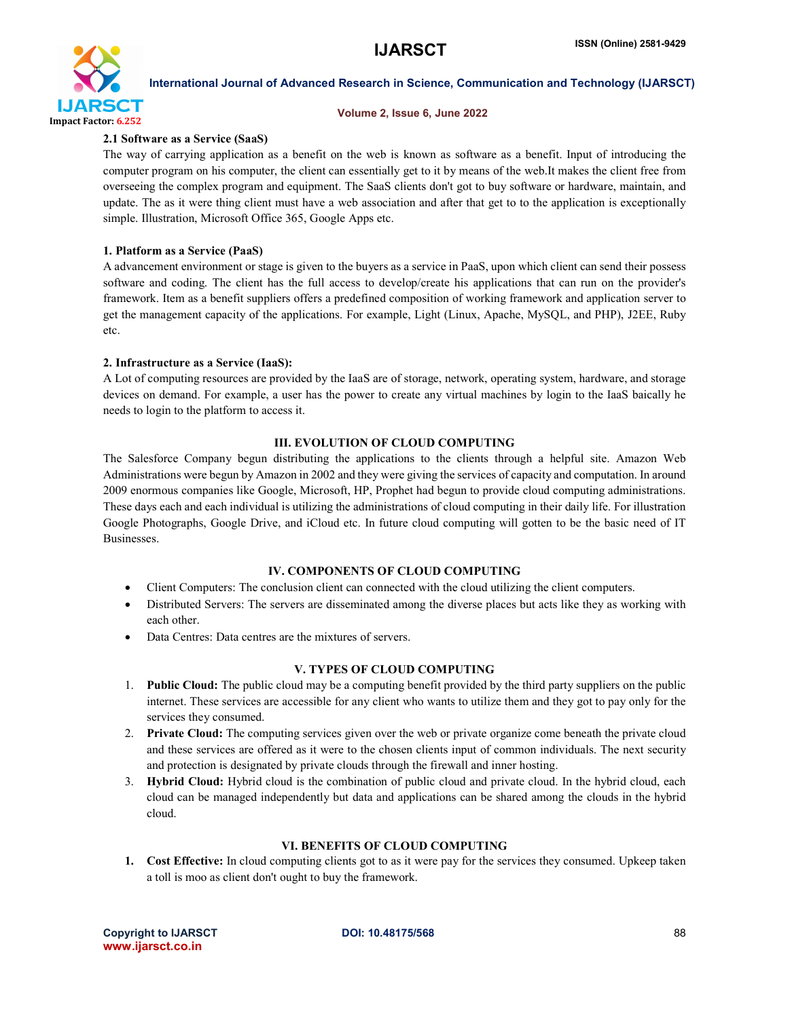

#### International Journal of Advanced Research in Science, Communication and Technology (IJARSCT)

#### Volume 2, Issue 6, June 2022

### 2.1 Software as a Service (SaaS)

The way of carrying application as a benefit on the web is known as software as a benefit. Input of introducing the computer program on his computer, the client can essentially get to it by means of the web.It makes the client free from overseeing the complex program and equipment. The SaaS clients don't got to buy software or hardware, maintain, and update. The as it were thing client must have a web association and after that get to to the application is exceptionally simple. Illustration, Microsoft Office 365, Google Apps etc.

### 1. Platform as a Service (PaaS)

A advancement environment or stage is given to the buyers as a service in PaaS, upon which client can send their possess software and coding. The client has the full access to develop/create his applications that can run on the provider's framework. Item as a benefit suppliers offers a predefined composition of working framework and application server to get the management capacity of the applications. For example, Light (Linux, Apache, MySQL, and PHP), J2EE, Ruby etc.

#### 2. Infrastructure as a Service (IaaS):

A Lot of computing resources are provided by the IaaS are of storage, network, operating system, hardware, and storage devices on demand. For example, a user has the power to create any virtual machines by login to the IaaS baically he needs to login to the platform to access it.

# III. EVOLUTION OF CLOUD COMPUTING

The Salesforce Company begun distributing the applications to the clients through a helpful site. Amazon Web Administrations were begun by Amazon in 2002 and they were giving the services of capacity and computation. In around 2009 enormous companies like Google, Microsoft, HP, Prophet had begun to provide cloud computing administrations. These days each and each individual is utilizing the administrations of cloud computing in their daily life. For illustration Google Photographs, Google Drive, and iCloud etc. In future cloud computing will gotten to be the basic need of IT Businesses.

# IV. COMPONENTS OF CLOUD COMPUTING

- Client Computers: The conclusion client can connected with the cloud utilizing the client computers.
- Distributed Servers: The servers are disseminated among the diverse places but acts like they as working with each other.
- Data Centres: Data centres are the mixtures of servers.

#### V. TYPES OF CLOUD COMPUTING

- 1. Public Cloud: The public cloud may be a computing benefit provided by the third party suppliers on the public internet. These services are accessible for any client who wants to utilize them and they got to pay only for the services they consumed.
- 2. Private Cloud: The computing services given over the web or private organize come beneath the private cloud and these services are offered as it were to the chosen clients input of common individuals. The next security and protection is designated by private clouds through the firewall and inner hosting.
- 3. Hybrid Cloud: Hybrid cloud is the combination of public cloud and private cloud. In the hybrid cloud, each cloud can be managed independently but data and applications can be shared among the clouds in the hybrid cloud.

# VI. BENEFITS OF CLOUD COMPUTING

1. Cost Effective: In cloud computing clients got to as it were pay for the services they consumed. Upkeep taken a toll is moo as client don't ought to buy the framework.